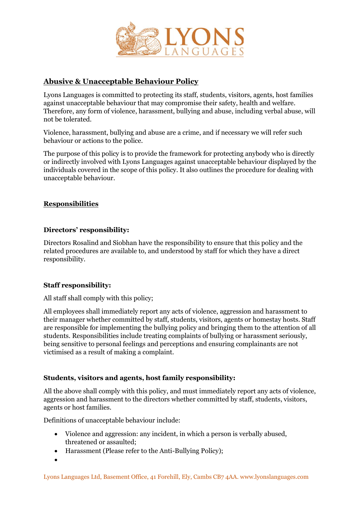

# **Abusive & Unacceptable Behaviour Policy**

Lyons Languages is committed to protecting its staff, students, visitors, agents, host families against unacceptable behaviour that may compromise their safety, health and welfare. Therefore, any form of violence, harassment, bullying and abuse, including verbal abuse, will not be tolerated.

Violence, harassment, bullying and abuse are a crime, and if necessary we will refer such behaviour or actions to the police.

The purpose of this policy is to provide the framework for protecting anybody who is directly or indirectly involved with Lyons Languages against unacceptable behaviour displayed by the individuals covered in the scope of this policy. It also outlines the procedure for dealing with unacceptable behaviour.

# **Responsibilities**

# **Directors' responsibility:**

Directors Rosalind and Siobhan have the responsibility to ensure that this policy and the related procedures are available to, and understood by staff for which they have a direct responsibility.

# **Staff responsibility:**

#### All staff shall comply with this policy;

All employees shall immediately report any acts of violence, aggression and harassment to their manager whether committed by staff, students, visitors, agents or homestay hosts. Staff are responsible for implementing the bullying policy and bringing them to the attention of all students. Responsibilities include treating complaints of bullying or harassment seriously, being sensitive to personal feelings and perceptions and ensuring complainants are not victimised as a result of making a complaint.

# **Students, visitors and agents, host family responsibility:**

All the above shall comply with this policy, and must immediately report any acts of violence, aggression and harassment to the directors whether committed by staff, students, visitors, agents or host families.

Definitions of unacceptable behaviour include:

- Violence and aggression: any incident, in which a person is verbally abused, threatened or assaulted;
- Harassment (Please refer to the Anti-Bullying Policy);
- •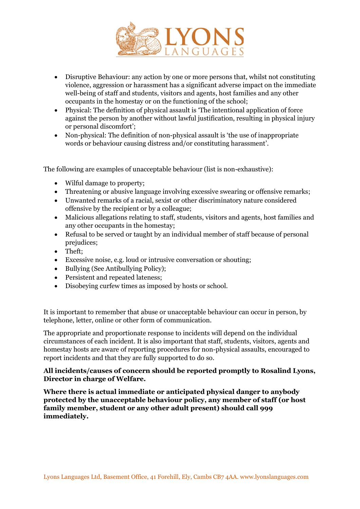

- Disruptive Behaviour: any action by one or more persons that, whilst not constituting violence, aggression or harassment has a significant adverse impact on the immediate well-being of staff and students, visitors and agents, host families and any other occupants in the homestay or on the functioning of the school;
- Physical: The definition of physical assault is 'The intentional application of force against the person by another without lawful justification, resulting in physical injury or personal discomfort';
- Non-physical: The definition of non-physical assault is 'the use of inappropriate words or behaviour causing distress and/or constituting harassment'.

The following are examples of unacceptable behaviour (list is non-exhaustive):

- Wilful damage to property;
- Threatening or abusive language involving excessive swearing or offensive remarks;
- Unwanted remarks of a racial, sexist or other discriminatory nature considered offensive by the recipient or by a colleague;
- Malicious allegations relating to staff, students, visitors and agents, host families and any other occupants in the homestay;
- Refusal to be served or taught by an individual member of staff because of personal prejudices;
- Theft;
- Excessive noise, e.g. loud or intrusive conversation or shouting;
- Bullying (See Antibullying Policy);
- Persistent and repeated lateness;
- Disobeying curfew times as imposed by hosts or school.

It is important to remember that abuse or unacceptable behaviour can occur in person, by telephone, letter, online or other form of communication.

The appropriate and proportionate response to incidents will depend on the individual circumstances of each incident. It is also important that staff, students, visitors, agents and homestay hosts are aware of reporting procedures for non-physical assaults, encouraged to report incidents and that they are fully supported to do so.

#### **All incidents/causes of concern should be reported promptly to Rosalind Lyons, Director in charge of Welfare.**

**Where there is actual immediate or anticipated physical danger to anybody protected by the unacceptable behaviour policy, any member of staff (or host family member, student or any other adult present) should call 999 immediately.**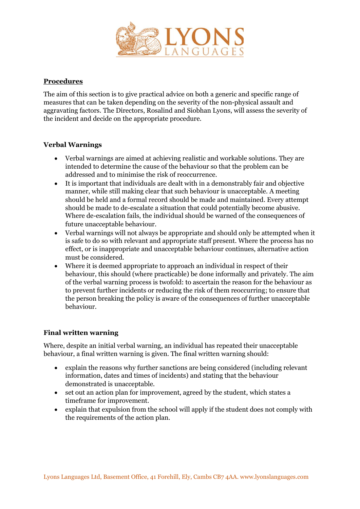

# **Procedures**

The aim of this section is to give practical advice on both a generic and specific range of measures that can be taken depending on the severity of the non-physical assault and aggravating factors. The Directors, Rosalind and Siobhan Lyons, will assess the severity of the incident and decide on the appropriate procedure.

# **Verbal Warnings**

- Verbal warnings are aimed at achieving realistic and workable solutions. They are intended to determine the cause of the behaviour so that the problem can be addressed and to minimise the risk of reoccurrence.
- It is important that individuals are dealt with in a demonstrably fair and objective manner, while still making clear that such behaviour is unacceptable. A meeting should be held and a formal record should be made and maintained. Every attempt should be made to de-escalate a situation that could potentially become abusive. Where de-escalation fails, the individual should be warned of the consequences of future unacceptable behaviour.
- Verbal warnings will not always be appropriate and should only be attempted when it is safe to do so with relevant and appropriate staff present. Where the process has no effect, or is inappropriate and unacceptable behaviour continues, alternative action must be considered.
- Where it is deemed appropriate to approach an individual in respect of their behaviour, this should (where practicable) be done informally and privately. The aim of the verbal warning process is twofold: to ascertain the reason for the behaviour as to prevent further incidents or reducing the risk of them reoccurring; to ensure that the person breaking the policy is aware of the consequences of further unacceptable behaviour.

# **Final written warning**

Where, despite an initial verbal warning, an individual has repeated their unacceptable behaviour, a final written warning is given. The final written warning should:

- explain the reasons why further sanctions are being considered (including relevant information, dates and times of incidents) and stating that the behaviour demonstrated is unacceptable.
- set out an action plan for improvement, agreed by the student, which states a timeframe for improvement.
- explain that expulsion from the school will apply if the student does not comply with the requirements of the action plan.